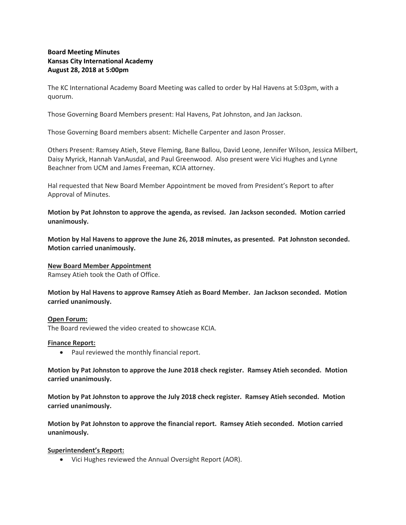# **Board Meeting Minutes Kansas City International Academy August 28, 2018 at 5:00pm**

The KC International Academy Board Meeting was called to order by Hal Havens at 5:03pm, with a quorum.

Those Governing Board Members present: Hal Havens, Pat Johnston, and Jan Jackson.

Those Governing Board members absent: Michelle Carpenter and Jason Prosser.

Others Present: Ramsey Atieh, Steve Fleming, Bane Ballou, David Leone, Jennifer Wilson, Jessica Milbert, Daisy Myrick, Hannah VanAusdal, and Paul Greenwood. Also present were Vici Hughes and Lynne Beachner from UCM and James Freeman, KCIA attorney.

Hal requested that New Board Member Appointment be moved from President's Report to after Approval of Minutes.

**Motion by Pat Johnston to approve the agenda, as revised. Jan Jackson seconded. Motion carried unanimously.**

**Motion by Hal Havens to approve the June 26, 2018 minutes, as presented. Pat Johnston seconded. Motion carried unanimously.**

### **New Board Member Appointment**

Ramsey Atieh took the Oath of Office.

**Motion by Hal Havens to approve Ramsey Atieh as Board Member. Jan Jackson seconded. Motion carried unanimously.**

#### **Open Forum:**

The Board reviewed the video created to showcase KCIA.

#### **Finance Report:**

• Paul reviewed the monthly financial report.

**Motion by Pat Johnston to approve the June 2018 check register. Ramsey Atieh seconded. Motion carried unanimously.** 

**Motion by Pat Johnston to approve the July 2018 check register. Ramsey Atieh seconded. Motion carried unanimously.** 

**Motion by Pat Johnston to approve the financial report. Ramsey Atieh seconded. Motion carried unanimously.** 

### **Superintendent's Report:**

Vici Hughes reviewed the Annual Oversight Report (AOR).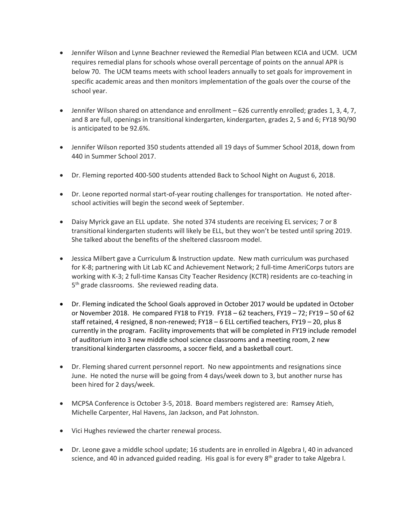- Jennifer Wilson and Lynne Beachner reviewed the Remedial Plan between KCIA and UCM. UCM requires remedial plans for schools whose overall percentage of points on the annual APR is below 70. The UCM teams meets with school leaders annually to set goals for improvement in specific academic areas and then monitors implementation of the goals over the course of the school year.
- Jennifer Wilson shared on attendance and enrollment 626 currently enrolled; grades 1, 3, 4, 7, and 8 are full, openings in transitional kindergarten, kindergarten, grades 2, 5 and 6; FY18 90/90 is anticipated to be 92.6%.
- Jennifer Wilson reported 350 students attended all 19 days of Summer School 2018, down from 440 in Summer School 2017.
- Dr. Fleming reported 400-500 students attended Back to School Night on August 6, 2018.
- Dr. Leone reported normal start-of-year routing challenges for transportation. He noted afterschool activities will begin the second week of September.
- Daisy Myrick gave an ELL update. She noted 374 students are receiving EL services; 7 or 8 transitional kindergarten students will likely be ELL, but they won't be tested until spring 2019. She talked about the benefits of the sheltered classroom model.
- Jessica Milbert gave a Curriculum & Instruction update. New math curriculum was purchased for K-8; partnering with Lit Lab KC and Achievement Network; 2 full-time AmeriCorps tutors are working with K-3; 2 full-time Kansas City Teacher Residency (KCTR) residents are co-teaching in 5<sup>th</sup> grade classrooms. She reviewed reading data.
- Dr. Fleming indicated the School Goals approved in October 2017 would be updated in October or November 2018. He compared FY18 to FY19. FY18 – 62 teachers, FY19 – 72; FY19 – 50 of 62 staff retained, 4 resigned, 8 non-renewed; FY18 – 6 ELL certified teachers, FY19 – 20, plus 8 currently in the program. Facility improvements that will be completed in FY19 include remodel of auditorium into 3 new middle school science classrooms and a meeting room, 2 new transitional kindergarten classrooms, a soccer field, and a basketball court.
- Dr. Fleming shared current personnel report. No new appointments and resignations since June. He noted the nurse will be going from 4 days/week down to 3, but another nurse has been hired for 2 days/week.
- MCPSA Conference is October 3-5, 2018. Board members registered are: Ramsey Atieh, Michelle Carpenter, Hal Havens, Jan Jackson, and Pat Johnston.
- Vici Hughes reviewed the charter renewal process.
- Dr. Leone gave a middle school update; 16 students are in enrolled in Algebra I, 40 in advanced science, and 40 in advanced guided reading. His goal is for every  $8<sup>th</sup>$  grader to take Algebra I.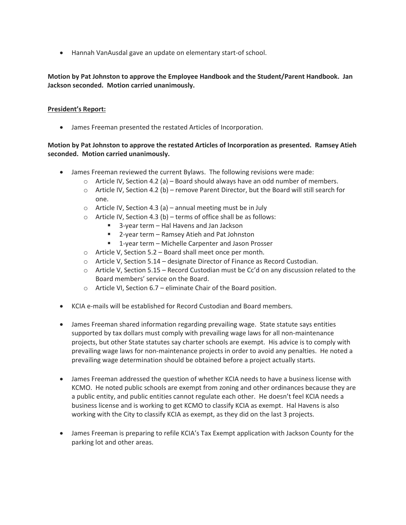Hannah VanAusdal gave an update on elementary start-of school.

# **Motion by Pat Johnston to approve the Employee Handbook and the Student/Parent Handbook. Jan Jackson seconded. Motion carried unanimously.**

## **President's Report:**

James Freeman presented the restated Articles of Incorporation.

# **Motion by Pat Johnston to approve the restated Articles of Incorporation as presented. Ramsey Atieh seconded. Motion carried unanimously.**

- James Freeman reviewed the current Bylaws. The following revisions were made:
	- $\circ$  Article IV, Section 4.2 (a) Board should always have an odd number of members.
	- $\circ$  Article IV, Section 4.2 (b) remove Parent Director, but the Board will still search for one.
	- $\circ$  Article IV, Section 4.3 (a) annual meeting must be in July
	- $\circ$  Article IV, Section 4.3 (b) terms of office shall be as follows:
		- 3-year term Hal Havens and Jan Jackson
		- 2-year term Ramsey Atieh and Pat Johnston
		- 1-year term Michelle Carpenter and Jason Prosser
	- o Article V, Section 5.2 Board shall meet once per month.
	- o Article V, Section 5.14 designate Director of Finance as Record Custodian.
	- $\circ$  Article V, Section 5.15 Record Custodian must be Cc'd on any discussion related to the Board members' service on the Board.
	- o Article VI, Section 6.7 eliminate Chair of the Board position.
- KCIA e-mails will be established for Record Custodian and Board members.
- James Freeman shared information regarding prevailing wage. State statute says entities supported by tax dollars must comply with prevailing wage laws for all non-maintenance projects, but other State statutes say charter schools are exempt. His advice is to comply with prevailing wage laws for non-maintenance projects in order to avoid any penalties. He noted a prevailing wage determination should be obtained before a project actually starts.
- James Freeman addressed the question of whether KCIA needs to have a business license with KCMO. He noted public schools are exempt from zoning and other ordinances because they are a public entity, and public entities cannot regulate each other. He doesn't feel KCIA needs a business license and is working to get KCMO to classify KCIA as exempt. Hal Havens is also working with the City to classify KCIA as exempt, as they did on the last 3 projects.
- James Freeman is preparing to refile KCIA's Tax Exempt application with Jackson County for the parking lot and other areas.